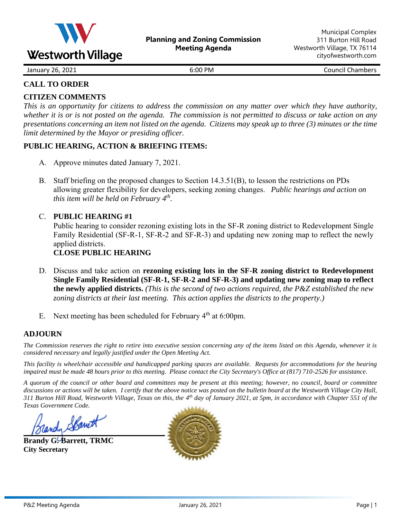

January 26, 2021 **6:00 PM** 6:00 PM Council Chambers

## **CALL TO ORDER**

# **CITIZEN COMMENTS**

*This is an opportunity for citizens to address the commission on any matter over which they have authority, whether it is or is not posted on the agenda. The commission is not permitted to discuss or take action on any presentations concerning an item not listed on the agenda. Citizens may speak up to three (3) minutes or the time limit determined by the Mayor or presiding officer.*

### **PUBLIC HEARING, ACTION & BRIEFING ITEMS:**

- A. Approve minutes dated January 7, 2021.
- B. Staff briefing on the proposed changes to Section 14.3.51(B), to lesson the restrictions on PDs allowing greater flexibility for developers, seeking zoning changes. *Public hearings and action on this item will be held on February 4th .*

# C. **PUBLIC HEARING #1**

Public hearing to consider rezoning existing lots in the SF-R zoning district to Redevelopment Single Family Residential (SF-R-1, SF-R-2 and SF-R-3) and updating new zoning map to reflect the newly applied districts.

# **CLOSE PUBLIC HEARING**

- D. Discuss and take action on **rezoning existing lots in the SF-R zoning district to Redevelopment Single Family Residential (SF-R-1, SF-R-2 and SF-R-3) and updating new zoning map to reflect the newly applied districts.** *(This is the second of two actions required, the P&Z established the new zoning districts at their last meeting. This action applies the districts to the property.)*
- E. Next meeting has been scheduled for February 4<sup>th</sup> at 6:00pm.

### **ADJOURN**

*The Commission reserves the right to retire into executive session concerning any of the items listed on this Agenda, whenever it is considered necessary and legally justified under the Open Meeting Act.*

*This facility is wheelchair accessible and handicapped parking spaces are available. Requests for accommodations for the hearing impaired must be made 48 hours prior to this meeting. Please contact the City Secretary's Office at (817) 710-2526 for assistance.*

*A quorum of the council or other board and committees may be present at this meeting; however, no council, board or committee discussions or actions will be taken. I certify that the above notice was posted on the bulletin board at the Westworth Village City Hall, 311 Burton Hill Road, Westworth Village, Texas on this, the 4 th day of January 2021, at 5pm, in accordance with Chapter 551 of the Texas Government Code.* 

Jandy Spani

**Brandy G. Barrett, TRMC City Secretary**

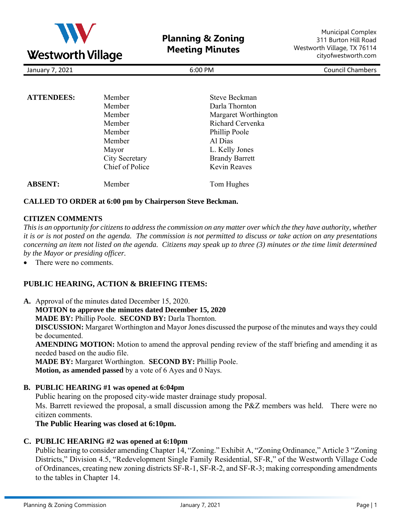

**Planning & Zoning Meeting Minutes**

Municipal Complex 311 Burton Hill Road Westworth Village, TX 76114 cityofwestworth.com

| January 7, 2021 |
|-----------------|
|-----------------|

January 7, 2021 6:00 PM Council Chambers

| <b>ATTENDEES:</b> | Member          | Steve Beckman         |
|-------------------|-----------------|-----------------------|
|                   | Member          | Darla Thornton        |
|                   | Member          | Margaret Worthington  |
|                   | Member          | Richard Cervenka      |
|                   | Member          | Phillip Poole         |
|                   | Member          | Al Dias               |
|                   | Mayor           | L. Kelly Jones        |
|                   | City Secretary  | <b>Brandy Barrett</b> |
|                   | Chief of Police | Kevin Reaves          |
| <b>ABSENT:</b>    | Member          | Tom Hughes            |

### **CALLED TO ORDER at 6:00 pm by Chairperson Steve Beckman.**

### **CITIZEN COMMENTS**

*This is an opportunity for citizens to address the commission on any matter over which the they have authority, whether it is or is not posted on the agenda. The commission is not permitted to discuss or take action on any presentations concerning an item not listed on the agenda. Citizens may speak up to three (3) minutes or the time limit determined by the Mayor or presiding officer.*

There were no comments.

### **PUBLIC HEARING, ACTION & BRIEFING ITEMS:**

**A.** Approval of the minutes dated December 15, 2020. **MOTION to approve the minutes dated December 15, 2020 MADE BY:** Phillip Poole. **SECOND BY:** Darla Thornton. **DISCUSSION:** Margaret Worthington and Mayor Jones discussed the purpose of the minutes and ways they could be documented. **AMENDING MOTION:** Motion to amend the approval pending review of the staff briefing and amending it as needed based on the audio file. **MADE BY:** Margaret Worthington. **SECOND BY:** Phillip Poole. **Motion, as amended passed** by a vote of 6 Ayes and 0 Nays.

#### **B. PUBLIC HEARING #1 was opened at 6:04pm**

Public hearing on the proposed city-wide master drainage study proposal. Ms. Barrett reviewed the proposal, a small discussion among the P&Z members was held. There were no citizen comments.

**The Public Hearing was closed at 6:10pm.**

### **C. PUBLIC HEARING #2 was opened at 6:10pm**

Public hearing to consider amending Chapter 14, "Zoning." Exhibit A, "Zoning Ordinance," Article 3 "Zoning Districts," Division 4.5, "Redevelopment Single Family Residential, SF-R," of the Westworth Village Code of Ordinances, creating new zoning districts SF-R-1, SF-R-2, and SF-R-3; making corresponding amendments to the tables in Chapter 14.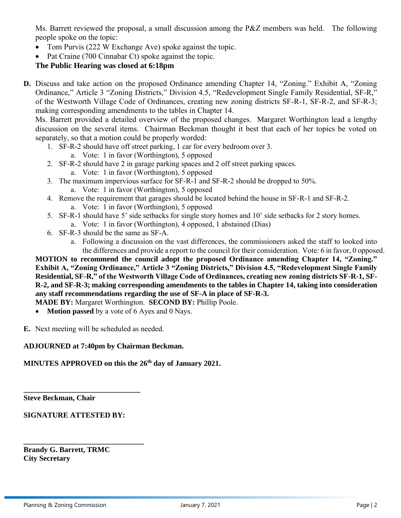Ms. Barrett reviewed the proposal, a small discussion among the P&Z members was held. The following people spoke on the topic:

- Tom Purvis (222 W Exchange Ave) spoke against the topic.
- Pat Craine (700 Cinnabar Ct) spoke against the topic.

# **The Public Hearing was closed at 6:18pm**

**D.** Discuss and take action on the proposed Ordinance amending Chapter 14, "Zoning." Exhibit A, "Zoning Ordinance," Article 3 "Zoning Districts," Division 4.5, "Redevelopment Single Family Residential, SF-R," of the Westworth Village Code of Ordinances, creating new zoning districts SF-R-1, SF-R-2, and SF-R-3; making corresponding amendments to the tables in Chapter 14.

Ms. Barrett provided a detailed overview of the proposed changes. Margaret Worthington lead a lengthy discussion on the several items. Chairman Beckman thought it best that each of her topics be voted on separately, so that a motion could be properly worded:

- 1. SF-R-2 should have off street parking, 1 car for every bedroom over 3.
	- a. Vote: 1 in favor (Worthington), 5 opposed
- 2. SF-R-2 should have 2 in garage parking spaces and 2 off street parking spaces.
	- a. Vote: 1 in favor (Worthington), 5 opposed
- 3. The maximum impervious surface for SF-R-1 and SF-R-2 should be dropped to 50%.
	- a. Vote: 1 in favor (Worthington), 5 opposed
- 4. Remove the requirement that garages should be located behind the house in SF-R-1 and SF-R-2. a. Vote: 1 in favor (Worthington), 5 opposed
- 5. SF-R-1 should have 5' side setbacks for single story homes and 10' side setbacks for 2 story homes. a. Vote: 1 in favor (Worthington), 4 opposed, 1 abstained (Dias)
- 6. SF-R-3 should be the same as SF-A.
	- a. Following a discussion on the vast differences, the commissioners asked the staff to looked into the differences and provide a report to the council for their consideration. Vote: 6 in favor, 0 opposed.

**MOTION to recommend the council adopt the proposed Ordinance amending Chapter 14, "Zoning." Exhibit A, "Zoning Ordinance," Article 3 "Zoning Districts," Division 4.5, "Redevelopment Single Family Residential, SF-R," of the Westworth Village Code of Ordinances, creating new zoning districts SF-R-1, SF-R-2, and SF-R-3; making corresponding amendments to the tables in Chapter 14, taking into consideration any staff recommendations regarding the use of SF-A in place of SF-R-3.**

- **MADE BY:** Margaret Worthington. **SECOND BY:** Phillip Poole.
- **Motion passed** by a vote of 6 Ayes and 0 Nays.

**E.** Next meeting will be scheduled as needed.

### **ADJOURNED at 7:40pm by Chairman Beckman.**

**MINUTES APPROVED on this the 26th day of January 2021.**

**Steve Beckman, Chair**

**SIGNATURE ATTESTED BY:** 

**\_\_\_\_\_\_\_\_\_\_\_\_\_\_\_\_\_\_\_\_\_\_\_\_\_\_\_\_\_\_\_** 

**\_\_\_\_\_\_\_\_\_\_\_\_\_\_\_\_\_\_\_\_\_\_\_\_\_\_\_\_\_\_\_\_**

**Brandy G. Barrett, TRMC City Secretary**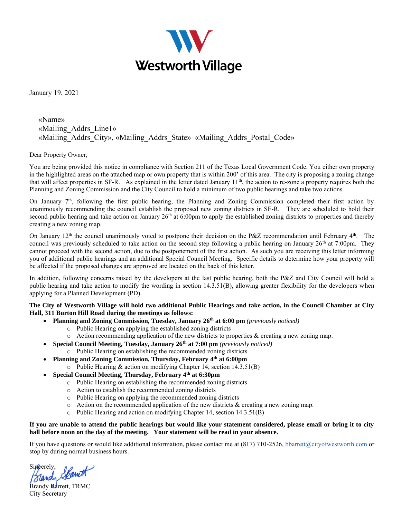

January 19, 2021

### «Name» «Mailing\_Addrs\_Line1» «Mailing\_Addrs\_City», «Mailing\_Addrs\_State» «Mailing\_Addrs\_Postal\_Code»

Dear Property Owner,

You are being provided this notice in compliance with Section 211 of the Texas Local Government Code. You either own property in the highlighted areas on the attached map or own property that is within 200' of this area. The city is proposing a zoning change that will affect properties in SF-R. As explained in the letter dated January  $11<sup>th</sup>$ , the action to re-zone a property requires both the Planning and Zoning Commission and the City Council to hold a minimum of two public hearings and take two actions.

On January  $7<sup>th</sup>$ , following the first public hearing, the Planning and Zoning Commission completed their first action by unanimously recommending the council establish the proposed new zoning districts in SF-R. They are scheduled to hold their second public hearing and take action on January  $26<sup>th</sup>$  at 6:00pm to apply the established zoning districts to properties and thereby creating a new zoning map.

On January  $12<sup>th</sup>$  the council unanimously voted to postpone their decision on the P&Z recommendation until February  $4<sup>th</sup>$ . The council was previously scheduled to take action on the second step following a public hearing on January  $26<sup>th</sup>$  at 7:00pm. They cannot proceed with the second action, due to the postponement of the first action. As such you are receiving this letter informing you of additional public hearings and an additional Special Council Meeting. Specific details to determine how your property will be affected if the proposed changes are approved are located on the back of this letter.

In addition, following concerns raised by the developers at the last public hearing, both the P&Z and City Council will hold a public hearing and take action to modify the wording in section 14.3.51(B), allowing greater flexibility for the developers when applying for a Planned Development (PD).

#### **The City of Westworth Village will hold two additional Public Hearings and take action, in the Council Chamber at City Hall, 311 Burton Hill Road during the meetings as follows:**

- **Planning and Zoning Commission, Tuesday, January 26th at 6:00 pm** *(previously noticed)*
	- o Public Hearing on applying the established zoning districts
	- $\circ$  Action recommending application of the new districts to properties & creating a new zoning map.
	- **Special Council Meeting, Tuesday, January 26th at 7:00 pm** *(previously noticed)*
		- o Public Hearing on establishing the recommended zoning districts
- **Planning and Zoning Commission, Thursday, February 4 th at 6:00pm** o Public Hearing & action on modifying Chapter 14, section 14.3.51(B)
	- **Special Council Meeting, Thursday, February 4th at 6:30pm**
		- o Public Hearing on establishing the recommended zoning districts
		- o Action to establish the recommended zoning districts
		- o Public Hearing on applying the recommended zoning districts
		- $\circ$  Action on the recommended application of the new districts & creating a new zoning map.
		- $\circ$  Public Hearing and action on modifying Chapter 14, section 14.3.51(B)

#### **If you are unable to attend the public hearings but would like your statement considered, please email or bring it to city hall before noon on the day of the meeting. Your statement will be read in your absence.**

If you have questions or would like additional information, please contact me at (817) 710-2526[, bbarrett@cityofwestworth.com](mailto:bbarrett@cityofwestworth.com) or stop by during normal business hours.

Brandy Spanet

Brandy Barrett, TRMC City Secretary